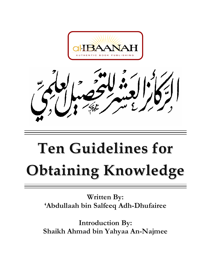

# **Ten Guidelines for Obtaining Knowledge**

**Written By: 'Abdullaah bin Salfeeq Adh-Dhufairee** 

**Introduction By: Shaikh Ahmad bin Yahyaa An-Najmee**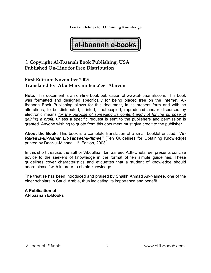

#### **© Copyright Al-Ibaanah Book Publishing, USA Published On-Line for Free Distribution**

#### **First Edition: November 2005 Translated By: Abu Maryam Isma'eel Alarcon**

**Note:** This document is an on-line book publication of www.al-ibaanah.com. This book was formatted and designed specifically for being placed free on the Internet. Al-Ibaanah Book Publishing allows for this document, in its present form and with no alterations, to be distributed, printed, photocopied, reproduced and/or disbursed by electronic means *for the purpose of spreading its content and not for the purpose of gaining a profit,* unless a specific request is sent to the publishers and permission is granted. Anyone wishing to quote from this document must give credit to the publisher.

**About the Book:** This book is a complete translation of a small booklet entitled: *"Ar-Rakaa'iz-ul-'Ashar Lit-Tahseel-il-'Ilmee"* (Ten Guidelines for Obtaining Knowledge) printed by Daar-ul-Minhaaj, 1<sup>st</sup> Edition, 2003.

In this short treatise, the author 'Abdullaah bin Salfeeq Adh-Dhufairee, presents concise advice to the seekers of knowledge in the format of ten simple guidelines. These guidelines cover characteristics and etiquettes that a student of knowledge should adorn himself with in order to obtain knowledge.

The treatise has been introduced and praised by Shaikh Ahmad An-Najmee, one of the elder scholars in Saudi Arabia, thus indicating its importance and benefit.

**A Publication of Al-Ibaanah E-Books**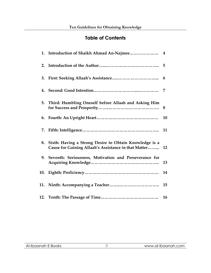### **Table of Contents**

| 2. |                                                                                                                   |    |
|----|-------------------------------------------------------------------------------------------------------------------|----|
| 3. |                                                                                                                   | 6  |
|    |                                                                                                                   | 7  |
|    | 5. Third: Humbling Oneself before Allaah and Asking Him                                                           | 8  |
| 6. |                                                                                                                   | 10 |
| 7. |                                                                                                                   | 11 |
|    | 8. Sixth: Having a Strong Desire to Obtain Knowledge is a<br>Cause for Gaining Allaah's Assistance in that Matter | 12 |
|    | 9. Seventh: Seriousness, Motivation and Perseverance for                                                          | 13 |
|    |                                                                                                                   | 14 |
|    |                                                                                                                   | 15 |
|    |                                                                                                                   | 16 |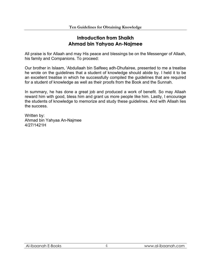#### **Introduction from Shaikh Ahmad bin Yahyaa An-Najmee**

All praise is for Allaah and may His peace and blessings be on the Messenger of Allaah, his family and Companions. To proceed:

Our brother in Islaam, 'Abdullaah bin Salfeeq adh-Dhufairee, presented to me a treatise he wrote on the guidelines that a student of knowledge should abide by. I held it to be an excellent treatise in which he successfully compiled the guidelines that are required for a student of knowledge as well as their proofs from the Book and the Sunnah.

In summary, he has done a great job and produced a work of benefit. So may Allaah reward him with good, bless him and grant us more people like him. Lastly, I encourage the students of knowledge to memorize and study these guidelines. And with Allaah lies the success.

Written by: Ahmad bin Yahyaa An-Najmee 4/27/1421H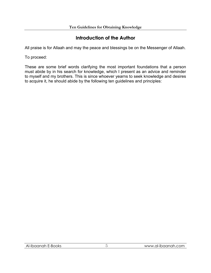#### **Introduction of the Author**

All praise is for Allaah and may the peace and blessings be on the Messenger of Allaah.

To proceed:

These are some brief words clarifying the most important foundations that a person must abide by in his search for knowledge, which I present as an advice and reminder to myself and my brothers. This is since whoever yearns to seek knowledge and desires to acquire it, he should abide by the following ten guidelines and principles: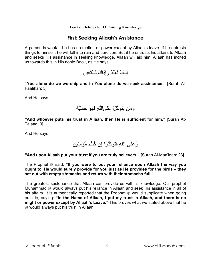#### **First: Seeking Allaah's Assistance**

A person is weak – he has no motion or power except by Allaah's leave. If he entrusts things to himself, he will fall into ruin and perdition. But if he entrusts his affairs to Allaah and seeks His assistance in seeking knowledge, Allaah will aid him. Allaah has incited us towards this in His noble Book, as He says:

إِيَّاكَ نَعْبُدُ وإِيَّاكَ نَسْتَعِينُ

**"You alone do we worship and in You alone do we seek assistance."** [Surah Al-Faatihah: 5]

And He says:



**"And whoever puts his trust in Allaah, then He is sufficient for him."** [Surah At-Talaaq: 3]

And He says:

وَعَلَى اللّهِ فَتَوَآَّلُواْ إِن آُنتُم مُّؤْمِنِينَ

**"And upon Allaah put your trust if you are truly believers."** [Surah Al-Maa'idah: 23]

The Prophet <sup>3</sup> said: "If you were to put your reliance upon Allaah the way you **ought to, He would surely provide for you just as He provides for the birds – they set out with empty stomachs and return with their stomachs full."**

The greatest sustenance that Allaah can provide us with is knowledge. Our prophet Muhammad <sup>33</sup> would always put his reliance in Allaah and seek His assistance in all of his affairs. It is authentically reported that the Prophet  $\otimes$  would supplicate when going outside, saying: **"In the Name of Allaah, I put my trust in Allaah, and there is no might or power except by Allaah's Leave."** This proves what we stated above that he would always put his trust in Allaah.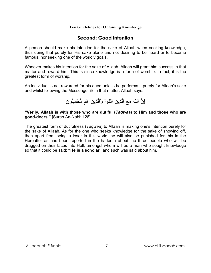#### **Second: Good Intention**

A person should make his intention for the sake of Allaah when seeking knowledge, thus doing that purely for His sake alone and not desiring to be heard or to become famous, nor seeking one of the worldly goals.

Whoever makes his intention for the sake of Allaah, Allaah will grant him success in that matter and reward him. This is since knowledge is a form of worship. In fact, it is the greatest form of worship.

An individual is not rewarded for his deed unless he performs it purely for Allaah's sake and whilst following the Messenger  $\ddot{\text{\tiny{\textcirc}}}$  in that matter. Allaah says:

إِنَّ اللّهَ مَعَ الَّذِينَ اتَّقَواْ وَّالَّذِينَ هُم مُّحْسِنُونَ

**"Verily, Allaah is with those who are dutiful (***Taqwaa***) to Him and those who are good-doers."** [Surah An-Nahl: 128]

The greatest form of dutifulness (*Taqwaa*) to Allaah is making one's intention purely for the sake of Allaah. As for the one who seeks knowledge for the sake of showing off, then apart from being a loser in this world, he will also be punished for this in the Hereafter as has been reported in the hadeeth about the three people who will be dragged on their faces into Hell, amongst whom will be a man who sought knowledge so that it could be said: **"He is a scholar"** and such was said about him.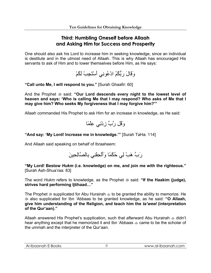#### **Third: Humbling Oneself before Allaah and Asking Him for Success and Prosperity**

One should also ask his Lord to increase him in seeking knowledge, since an individual is destitute and in the utmost need of Allaah. This is why Allaah has encouraged His servants to ask of Him and to lower themselves before Him, as He says:

وَقَالَ رَبُّكُمُ ادْعُونِي أَسْتَجِبْ لَكُمْ

**"Call unto Me, I will respond to you."** [Surah Ghaafir: 60]

And the Prophet  $\ddot{\textbf{\$} }$  said: "Our Lord descends every night to the lowest level of **heaven and says: 'Who is calling Me that I may respond? Who asks of Me that I may give him? Who seeks My forgiveness that I may forgive him?'"**

Allaah commanded His Prophet to ask Him for an increase in knowledge, as He said:



#### **"And say: 'My Lord! Increase me in knowledge.'"** [Surah TaHa: 114]

And Allaah said speaking on behalf of Ibraaheem:



**"My Lord! Bestow** *Hukm* **(i.e. knowledge) on me, and join me with the righteous."**  [Surah Ash-Shua'raa: 83]

The word *Hukm* refers to knowledge, as the Prophet  $\frac{1}{20}$  said: "If the Haakim (judge), **strives hard performing Ijtihaad…"**

The Prophet  $\mathcal{F}$  supplicated for Abu Hurairah  $\mathcal{F}$  to be granted the ability to memorize. He also supplicated for Ibn 'Abbaas to be granted knowledge, as he said: **"O Allaah, give him understanding of the Religion, and teach him the** *ta'weel* **(interpretation of the Qur'aan)."** 

Allaah answered His Prophet's supplication, such that afterward Abu Hurairah  $\triangleq$  didn't hear anything except that he memorized it and Ibn 'Abbaas  $\triangleq$  came to be the scholar of the ummah and the interpreter of the Qur'aan.

| $\sim$<br>AI-I<br>DOKS<br>-HBC<br>וזטר<br>ĸ<br>. .<br>___ | <b>LCOM</b><br>------<br>al-Ib<br>AIP<br>'WW<br>Ŵ<br>◡<br>______ |
|-----------------------------------------------------------|------------------------------------------------------------------|
|                                                           |                                                                  |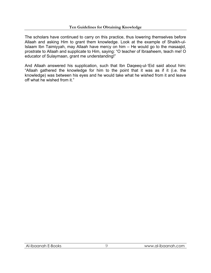The scholars have continued to carry on this practice, thus lowering themselves before Allaah and asking Him to grant them knowledge. Look at the example of Shaikh-ul-Islaam Ibn Taimiyyah, may Allaah have mercy on him – He would go to the masaajid, prostrate to Allaah and supplicate to Him, saying: "O teacher of Ibraaheem, teach me! O educator of Sulaymaan, grant me understanding!"

And Allaah answered his supplication, such that Ibn Daqeeq-ul-'Eid said about him: "Allaah gathered the knowledge for him to the point that it was as if it (i.e. the knowledge) was between his eyes and he would take what he wished from it and leave off what he wished from it."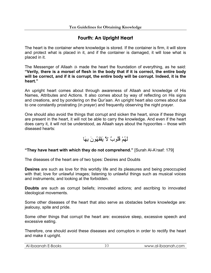#### **Fourth: An Upright Heart**

The heart is the container where knowledge is stored. If the container is firm, it will store and protect what is placed in it, and if the container is damaged, it will lose what is placed in it.

The Messenger of Allaah  $\frac{4}{36}$  made the heart the foundation of everything, as he said: **"Verily, there is a morsel of flesh in the body that if it is correct, the entire body will be correct, and if it is corrupt, the entire body will be corrupt. Indeed, it is the heart."**

An upright heart comes about through awareness of Allaah and knowledge of His Names, Attributes and Actions. It also comes about by way of reflecting on His signs and creations, and by pondering on the Qur'aan. An upright heart also comes about due to one constantly prostrating (in prayer) and frequently observing the night prayer.

One should also avoid the things that corrupt and sicken the heart, since if these things are present in the heart, it will not be able to carry the knowledge. And even if the heart does carry it, it will not be understood, as Allaah says about the hypocrites – those with diseased hearts:

# لَهُمْ قُلُوبٌ لاَّ يَفْقَهُونَ بِهَا

#### **"They have heart with which they do not comprehend."** [Surah Al-A'raaf: 179]

The diseases of the heart are of two types: Desires and Doubts

**Desires** are such as love for this worldly life and its pleasures and being preoccupied with that; love for unlawful images; listening to unlawful things such as musical voices and instruments; and looking at the forbidden.

**Doubts** are such as corrupt beliefs; innovated actions; and ascribing to innovated ideological movements.

Some other diseases of the heart that also serve as obstacles before knowledge are: jealousy, spite and pride.

Some other things that corrupt the heart are: excessive sleep, excessive speech and excessive eating.

Therefore, one should avoid these diseases and corruptors in order to rectify the heart and make it upright.

| Al-Ibaanah E-Books | www.al-ibaanah.com |
|--------------------|--------------------|
|--------------------|--------------------|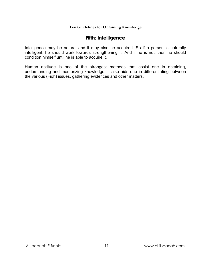#### **Fifth: Intelligence**

Intelligence may be natural and it may also be acquired. So if a person is naturally intelligent, he should work towards strengthening it. And if he is not, then he should condition himself until he is able to acquire it.

Human aptitude is one of the strongest methods that assist one in obtaining, understanding and memorizing knowledge. It also aids one in differentiating between the various (Fiqh) issues, gathering evidences and other matters.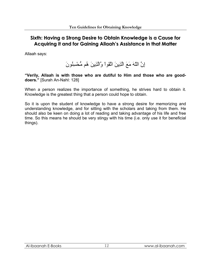#### **Sixth: Having a Strong Desire to Obtain Knowledge is a Cause for Acquiring it and for Gaining Allaah's Assistance in that Matter**

Allaah says:

إِنَّ اللّهَ مَعَ الَّذِينَ اتَّقَواْ وَّالَّذِينَ هُم مُّحْسِنُونَ

**"Verily, Allaah is with those who are dutiful to Him and those who are gooddoers."** [Surah An-Nahl: 128]

When a person realizes the importance of something, he strives hard to obtain it. Knowledge is the greatest thing that a person could hope to obtain.

So it is upon the student of knowledge to have a strong desire for memorizing and understanding knowledge, and for sitting with the scholars and taking from them. He should also be keen on doing a lot of reading and taking advantage of his life and free time. So this means he should be very stingy with his time (i.e. only use it for beneficial things).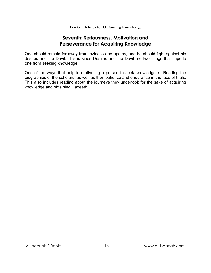#### **Seventh: Seriousness, Motivation and Perseverance for Acquiring Knowledge**

One should remain far away from laziness and apathy, and he should fight against his desires and the Devil. This is since Desires and the Devil are two things that impede one from seeking knowledge.

One of the ways that help in motivating a person to seek knowledge is: Reading the biographies of the scholars, as well as their patience and endurance in the face of trials. This also includes reading about the journeys they undertook for the sake of acquiring knowledge and obtaining Hadeeth.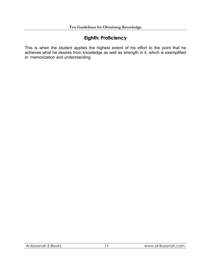### **Eighth: Proficiency**

This is when the student applies the highest extent of his effort to the point that he achieves what he desires from knowledge as well as strength in it, which is exemplified in: memorization and understanding.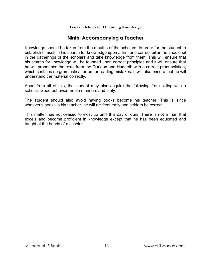#### **Ninth: Accompanying a Teacher**

Knowledge should be taken from the mouths of the scholars. In order for the student to establish himself in his search for knowledge upon a firm and correct pillar, he should sit in the gatherings of the scholars and take knowledge from them. This will ensure that his search for knowledge will be founded upon correct principles and it will ensure that he will pronounce the texts from the Qur'aan and Hadeeth with a correct pronunciation, which contains no grammatical errors or reading mistakes. It will also ensure that he will understand the material correctly.

Apart from all of this, the student may also acquire the following from sitting with a scholar: Good behavior, noble manners and piety.

The student should also avoid having books become his teacher. This is since whoever's books is his teacher, he will err frequently and seldom be correct.

This matter has not ceased to exist up until this day of ours. There is not a man that excels and become proficient in knowledge except that he has been educated and taught at the hands of a scholar.